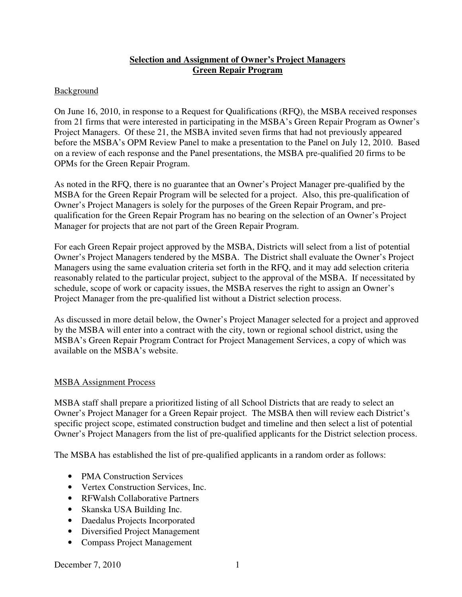### **Selection and Assignment of Owner's Project Managers Green Repair Program**

#### **Background**

On June 16, 2010, in response to a Request for Qualifications (RFQ), the MSBA received responses from 21 firms that were interested in participating in the MSBA's Green Repair Program as Owner's Project Managers. Of these 21, the MSBA invited seven firms that had not previously appeared before the MSBA's OPM Review Panel to make a presentation to the Panel on July 12, 2010. Based on a review of each response and the Panel presentations, the MSBA pre-qualified 20 firms to be OPMs for the Green Repair Program.

As noted in the RFQ, there is no guarantee that an Owner's Project Manager pre-qualified by the MSBA for the Green Repair Program will be selected for a project. Also, this pre-qualification of Owner's Project Managers is solely for the purposes of the Green Repair Program, and prequalification for the Green Repair Program has no bearing on the selection of an Owner's Project Manager for projects that are not part of the Green Repair Program.

For each Green Repair project approved by the MSBA, Districts will select from a list of potential Owner's Project Managers tendered by the MSBA. The District shall evaluate the Owner's Project Managers using the same evaluation criteria set forth in the RFQ, and it may add selection criteria reasonably related to the particular project, subject to the approval of the MSBA. If necessitated by schedule, scope of work or capacity issues, the MSBA reserves the right to assign an Owner's Project Manager from the pre-qualified list without a District selection process.

As discussed in more detail below, the Owner's Project Manager selected for a project and approved by the MSBA will enter into a contract with the city, town or regional school district, using the MSBA's Green Repair Program Contract for Project Management Services, a copy of which was available on the MSBA's website.

#### MSBA Assignment Process

MSBA staff shall prepare a prioritized listing of all School Districts that are ready to select an Owner's Project Manager for a Green Repair project. The MSBA then will review each District's specific project scope, estimated construction budget and timeline and then select a list of potential Owner's Project Managers from the list of pre-qualified applicants for the District selection process.

The MSBA has established the list of pre-qualified applicants in a random order as follows:

- PMA Construction Services
- Vertex Construction Services, Inc.
- RFWalsh Collaborative Partners
- Skanska USA Building Inc.
- Daedalus Projects Incorporated
- Diversified Project Management
- Compass Project Management

December 7, 2010 1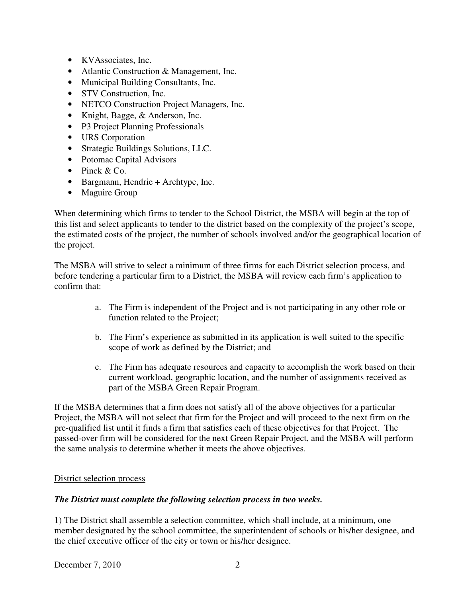- KVAssociates, Inc.
- Atlantic Construction & Management, Inc.
- Municipal Building Consultants, Inc.
- STV Construction, Inc.
- NETCO Construction Project Managers, Inc.
- Knight, Bagge, & Anderson, Inc.
- P3 Project Planning Professionals
- URS Corporation
- Strategic Buildings Solutions, LLC.
- Potomac Capital Advisors
- Pinck & Co.
- Bargmann, Hendrie + Archtype, Inc.
- Maguire Group

When determining which firms to tender to the School District, the MSBA will begin at the top of this list and select applicants to tender to the district based on the complexity of the project's scope, the estimated costs of the project, the number of schools involved and/or the geographical location of the project.

The MSBA will strive to select a minimum of three firms for each District selection process, and before tendering a particular firm to a District, the MSBA will review each firm's application to confirm that:

- a. The Firm is independent of the Project and is not participating in any other role or function related to the Project;
- b. The Firm's experience as submitted in its application is well suited to the specific scope of work as defined by the District; and
- c. The Firm has adequate resources and capacity to accomplish the work based on their current workload, geographic location, and the number of assignments received as part of the MSBA Green Repair Program.

If the MSBA determines that a firm does not satisfy all of the above objectives for a particular Project, the MSBA will not select that firm for the Project and will proceed to the next firm on the pre-qualified list until it finds a firm that satisfies each of these objectives for that Project. The passed-over firm will be considered for the next Green Repair Project, and the MSBA will perform the same analysis to determine whether it meets the above objectives.

## District selection process

## *The District must complete the following selection process in two weeks.*

1) The District shall assemble a selection committee, which shall include, at a minimum, one member designated by the school committee, the superintendent of schools or his/her designee, and the chief executive officer of the city or town or his/her designee.

December 7, 2010 2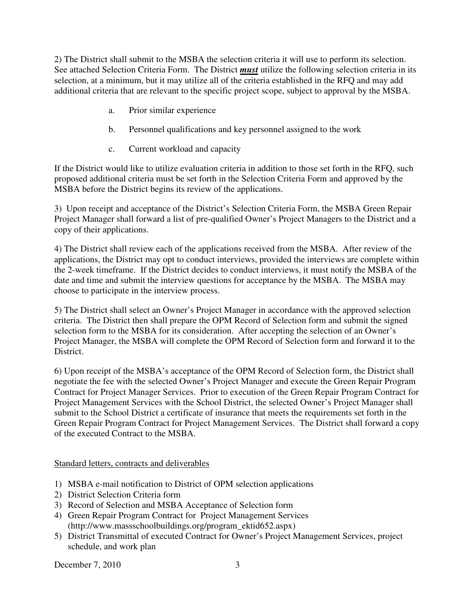2) The District shall submit to the MSBA the selection criteria it will use to perform its selection. See attached Selection Criteria Form. The District *must* utilize the following selection criteria in its selection, at a minimum, but it may utilize all of the criteria established in the RFQ and may add additional criteria that are relevant to the specific project scope, subject to approval by the MSBA.

- a. Prior similar experience
- b. Personnel qualifications and key personnel assigned to the work
- c. Current workload and capacity

If the District would like to utilize evaluation criteria in addition to those set forth in the RFQ, such proposed additional criteria must be set forth in the Selection Criteria Form and approved by the MSBA before the District begins its review of the applications.

3) Upon receipt and acceptance of the District's Selection Criteria Form, the MSBA Green Repair Project Manager shall forward a list of pre-qualified Owner's Project Managers to the District and a copy of their applications.

4) The District shall review each of the applications received from the MSBA. After review of the applications, the District may opt to conduct interviews, provided the interviews are complete within the 2-week timeframe. If the District decides to conduct interviews, it must notify the MSBA of the date and time and submit the interview questions for acceptance by the MSBA. The MSBA may choose to participate in the interview process.

5) The District shall select an Owner's Project Manager in accordance with the approved selection criteria. The District then shall prepare the OPM Record of Selection form and submit the signed selection form to the MSBA for its consideration. After accepting the selection of an Owner's Project Manager, the MSBA will complete the OPM Record of Selection form and forward it to the District.

6) Upon receipt of the MSBA's acceptance of the OPM Record of Selection form, the District shall negotiate the fee with the selected Owner's Project Manager and execute the Green Repair Program Contract for Project Manager Services. Prior to execution of the Green Repair Program Contract for Project Management Services with the School District, the selected Owner's Project Manager shall submit to the School District a certificate of insurance that meets the requirements set forth in the Green Repair Program Contract for Project Management Services. The District shall forward a copy of the executed Contract to the MSBA.

Standard letters, contracts and deliverables

- 1) MSBA e-mail notification to District of OPM selection applications
- 2) District Selection Criteria form
- 3) Record of Selection and MSBA Acceptance of Selection form
- 4) Green Repair Program Contract for Project Management Services (http://www.massschoolbuildings.org/program\_ektid652.aspx)
- 5) District Transmittal of executed Contract for Owner's Project Management Services, project schedule, and work plan

December 7, 2010 3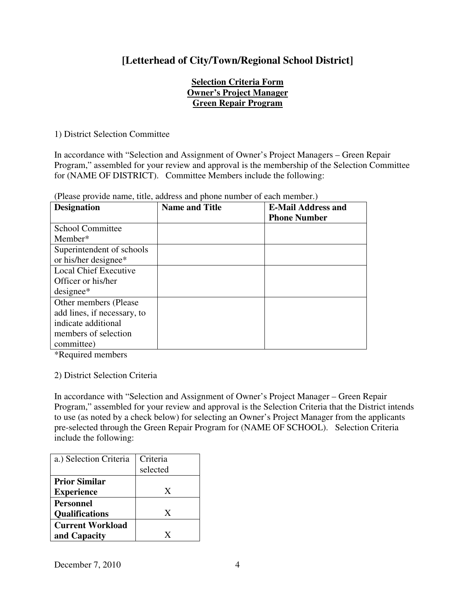# **[Letterhead of City/Town/Regional School District]**

## **Selection Criteria Form Owner's Project Manager Green Repair Program**

1) District Selection Committee

In accordance with "Selection and Assignment of Owner's Project Managers – Green Repair Program," assembled for your review and approval is the membership of the Selection Committee for (NAME OF DISTRICT). Committee Members include the following:

| <b>Designation</b>           | <b>Name and Title</b> | <b>E-Mail Address and</b> |
|------------------------------|-----------------------|---------------------------|
|                              |                       | <b>Phone Number</b>       |
| <b>School Committee</b>      |                       |                           |
| Member*                      |                       |                           |
| Superintendent of schools    |                       |                           |
| or his/her designee*         |                       |                           |
| <b>Local Chief Executive</b> |                       |                           |
| Officer or his/her           |                       |                           |
| $designee*$                  |                       |                           |
| Other members (Please        |                       |                           |
| add lines, if necessary, to  |                       |                           |
| indicate additional          |                       |                           |
| members of selection         |                       |                           |
| committee)                   |                       |                           |

(Please provide name, title, address and phone number of each member.)

\*Required members

## 2) District Selection Criteria

In accordance with "Selection and Assignment of Owner's Project Manager – Green Repair Program," assembled for your review and approval is the Selection Criteria that the District intends to use (as noted by a check below) for selecting an Owner's Project Manager from the applicants pre-selected through the Green Repair Program for (NAME OF SCHOOL). Selection Criteria include the following:

| a.) Selection Criteria                    | Criteria<br>selected |
|-------------------------------------------|----------------------|
| <b>Prior Similar</b><br><b>Experience</b> | X                    |
| Personnel<br><b>Qualifications</b>        | X                    |
| <b>Current Workload</b><br>and Capacity   | X                    |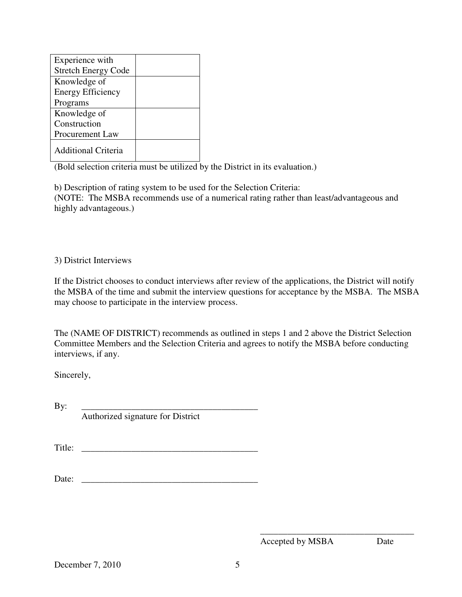| Experience with            |  |
|----------------------------|--|
| <b>Stretch Energy Code</b> |  |
| Knowledge of               |  |
| <b>Energy Efficiency</b>   |  |
| Programs                   |  |
| Knowledge of               |  |
| Construction               |  |
| Procurement Law            |  |
| <b>Additional Criteria</b> |  |

(Bold selection criteria must be utilized by the District in its evaluation.)

b) Description of rating system to be used for the Selection Criteria: (NOTE: The MSBA recommends use of a numerical rating rather than least/advantageous and highly advantageous.)

#### 3) District Interviews

If the District chooses to conduct interviews after review of the applications, the District will notify the MSBA of the time and submit the interview questions for acceptance by the MSBA. The MSBA may choose to participate in the interview process.

The (NAME OF DISTRICT) recommends as outlined in steps 1 and 2 above the District Selection Committee Members and the Selection Criteria and agrees to notify the MSBA before conducting interviews, if any.

Sincerely,

By: \_\_\_\_\_\_\_\_\_\_\_\_\_\_\_\_\_\_\_\_\_\_\_\_\_\_\_\_\_\_\_\_\_\_\_\_\_\_\_ Authorized signature for District

Title: \_\_\_\_\_\_\_\_\_\_\_\_\_\_\_\_\_\_\_\_\_\_\_\_\_\_\_\_\_\_\_\_\_\_\_\_\_\_\_

Date:

Accepted by MSBA Date

\_\_\_\_\_\_\_\_\_\_\_\_\_\_\_\_\_\_\_\_\_\_\_\_\_\_\_\_\_\_\_\_\_\_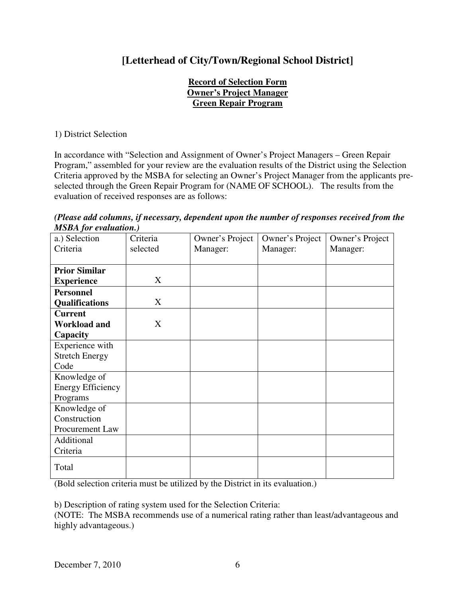# **[Letterhead of City/Town/Regional School District]**

## **Record of Selection Form Owner's Project Manager Green Repair Program**

1) District Selection

In accordance with "Selection and Assignment of Owner's Project Managers – Green Repair Program," assembled for your review are the evaluation results of the District using the Selection Criteria approved by the MSBA for selecting an Owner's Project Manager from the applicants preselected through the Green Repair Program for (NAME OF SCHOOL). The results from the evaluation of received responses are as follows:

*(Please add columns, if necessary, dependent upon the number of responses received from the MSBA for evaluation.)* 

| a.) Selection            | Criteria | Owner's Project | Owner's Project | Owner's Project |
|--------------------------|----------|-----------------|-----------------|-----------------|
| Criteria                 | selected | Manager:        | Manager:        | Manager:        |
|                          |          |                 |                 |                 |
| <b>Prior Similar</b>     |          |                 |                 |                 |
| <b>Experience</b>        | X        |                 |                 |                 |
| <b>Personnel</b>         |          |                 |                 |                 |
| <b>Qualifications</b>    | X        |                 |                 |                 |
| <b>Current</b>           |          |                 |                 |                 |
| <b>Workload and</b>      | X        |                 |                 |                 |
| Capacity                 |          |                 |                 |                 |
| Experience with          |          |                 |                 |                 |
| <b>Stretch Energy</b>    |          |                 |                 |                 |
| Code                     |          |                 |                 |                 |
| Knowledge of             |          |                 |                 |                 |
| <b>Energy Efficiency</b> |          |                 |                 |                 |
| Programs                 |          |                 |                 |                 |
| Knowledge of             |          |                 |                 |                 |
| Construction             |          |                 |                 |                 |
| Procurement Law          |          |                 |                 |                 |
| Additional               |          |                 |                 |                 |
| Criteria                 |          |                 |                 |                 |
| Total                    |          |                 |                 |                 |

(Bold selection criteria must be utilized by the District in its evaluation.)

b) Description of rating system used for the Selection Criteria:

(NOTE: The MSBA recommends use of a numerical rating rather than least/advantageous and highly advantageous.)